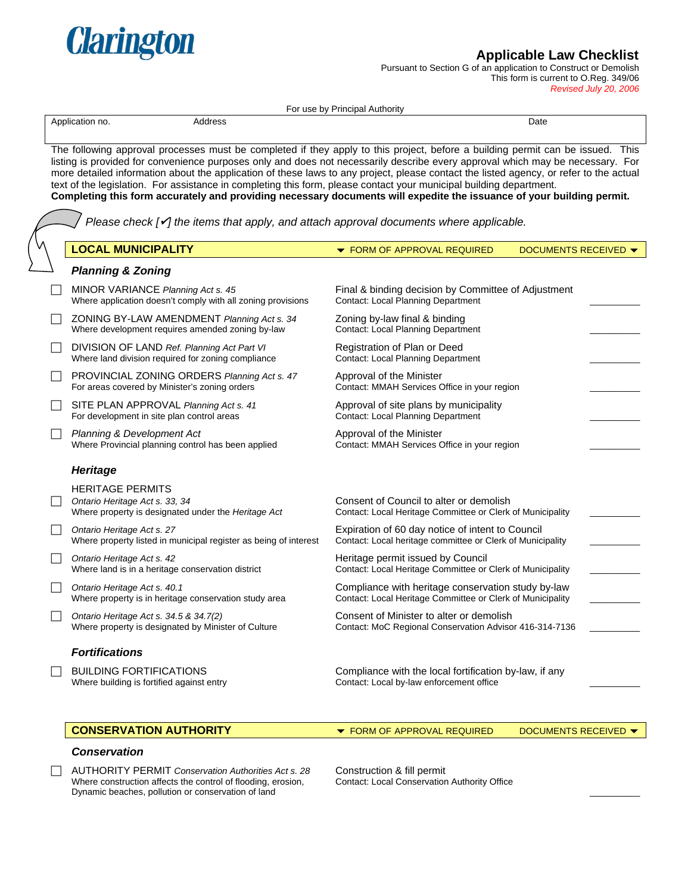

Pursuant to Section G of an application to Construct or Demolish This form is current to O.Reg. 349/06

*Revised July 20, 2006* 

| Address<br>Application no.                                                                                                                                                                                           | Date                                                                                                                                                                                                                                                                                                                                                                                                                                                                                                                                |
|----------------------------------------------------------------------------------------------------------------------------------------------------------------------------------------------------------------------|-------------------------------------------------------------------------------------------------------------------------------------------------------------------------------------------------------------------------------------------------------------------------------------------------------------------------------------------------------------------------------------------------------------------------------------------------------------------------------------------------------------------------------------|
| text of the legislation. For assistance in completing this form, please contact your municipal building department.<br>Please check $\sqrt{ }$ the items that apply, and attach approval documents where applicable. | The following approval processes must be completed if they apply to this project, before a building permit can be issued. This<br>listing is provided for convenience purposes only and does not necessarily describe every approval which may be necessary. For<br>more detailed information about the application of these laws to any project, please contact the listed agency, or refer to the actual<br>Completing this form accurately and providing necessary documents will expedite the issuance of your building permit. |
| <b>LOCAL MUNICIPALITY</b>                                                                                                                                                                                            | <b>DOCUMENTS RECEIVED ▼</b><br>▼ FORM OF APPROVAL REQUIRED                                                                                                                                                                                                                                                                                                                                                                                                                                                                          |
| <b>Planning &amp; Zoning</b>                                                                                                                                                                                         |                                                                                                                                                                                                                                                                                                                                                                                                                                                                                                                                     |
| MINOR VARIANCE Planning Act s. 45<br>Where application doesn't comply with all zoning provisions                                                                                                                     | Final & binding decision by Committee of Adjustment<br><b>Contact: Local Planning Department</b>                                                                                                                                                                                                                                                                                                                                                                                                                                    |
| ZONING BY-LAW AMENDMENT Planning Act s. 34<br>Where development requires amended zoning by-law                                                                                                                       | Zoning by-law final & binding<br><b>Contact: Local Planning Department</b>                                                                                                                                                                                                                                                                                                                                                                                                                                                          |
| DIVISION OF LAND Ref. Planning Act Part VI<br>Where land division required for zoning compliance                                                                                                                     | Registration of Plan or Deed<br><b>Contact: Local Planning Department</b>                                                                                                                                                                                                                                                                                                                                                                                                                                                           |
| PROVINCIAL ZONING ORDERS Planning Act s. 47<br>For areas covered by Minister's zoning orders                                                                                                                         | Approval of the Minister<br>Contact: MMAH Services Office in your region                                                                                                                                                                                                                                                                                                                                                                                                                                                            |
| SITE PLAN APPROVAL Planning Act s. 41<br>For development in site plan control areas                                                                                                                                  | Approval of site plans by municipality<br>Contact: Local Planning Department                                                                                                                                                                                                                                                                                                                                                                                                                                                        |
| Planning & Development Act<br>Where Provincial planning control has been applied                                                                                                                                     | Approval of the Minister<br>Contact: MMAH Services Office in your region                                                                                                                                                                                                                                                                                                                                                                                                                                                            |
| <b>Heritage</b>                                                                                                                                                                                                      |                                                                                                                                                                                                                                                                                                                                                                                                                                                                                                                                     |
| <b>HERITAGE PERMITS</b><br>Ontario Heritage Act s. 33, 34<br>Where property is designated under the Heritage Act                                                                                                     | Consent of Council to alter or demolish<br>Contact: Local Heritage Committee or Clerk of Municipality                                                                                                                                                                                                                                                                                                                                                                                                                               |
| Ontario Heritage Act s. 27<br>Where property listed in municipal register as being of interest                                                                                                                       | Expiration of 60 day notice of intent to Council<br>Contact: Local heritage committee or Clerk of Municipality                                                                                                                                                                                                                                                                                                                                                                                                                      |
| Ontario Heritage Act s. 42<br>Where land is in a heritage conservation district                                                                                                                                      | Heritage permit issued by Council<br>Contact: Local Heritage Committee or Clerk of Municipality                                                                                                                                                                                                                                                                                                                                                                                                                                     |
| Ontario Heritage Act s. 40.1<br>Where property is in heritage conservation study area                                                                                                                                | Compliance with heritage conservation study by-law<br>Contact: Local Heritage Committee or Clerk of Municipality                                                                                                                                                                                                                                                                                                                                                                                                                    |
| Ontario Heritage Act s. 34.5 & 34.7(2)<br>Where property is designated by Minister of Culture                                                                                                                        | Consent of Minister to alter or demolish<br>Contact: MoC Regional Conservation Advisor 416-314-7136                                                                                                                                                                                                                                                                                                                                                                                                                                 |
| <b>Fortifications</b>                                                                                                                                                                                                |                                                                                                                                                                                                                                                                                                                                                                                                                                                                                                                                     |
| <b>BUILDING FORTIFICATIONS</b><br>Where building is fortified against entry                                                                                                                                          | Compliance with the local fortification by-law, if any<br>Contact: Local by-law enforcement office                                                                                                                                                                                                                                                                                                                                                                                                                                  |
| <b>CONSERVATION AUTHORITY</b>                                                                                                                                                                                        | <b>DOCUMENTS RECEIVED ▼</b><br>▼ FORM OF APPROVAL REQUIRED                                                                                                                                                                                                                                                                                                                                                                                                                                                                          |

# *Conservation*

**Clarington** 

F AUTHORITY PERMIT *Conservation Authorities Act s. 28* Construction & fill permit Where construction affects the control of flooding, erosion, Dynamic beaches, pollution or conservation of land \_\_\_\_\_\_\_\_\_\_